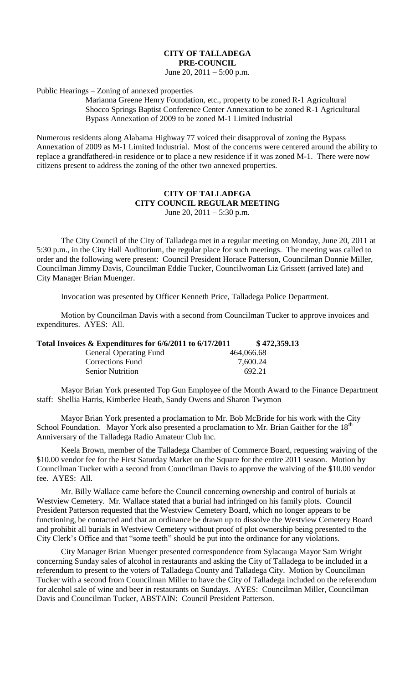## **CITY OF TALLADEGA PRE-COUNCIL**

June 20,  $2011 - 5:00$  p.m.

Public Hearings – Zoning of annexed properties

Marianna Greene Henry Foundation, etc., property to be zoned R-1 Agricultural Shocco Springs Baptist Conference Center Annexation to be zoned R-1 Agricultural Bypass Annexation of 2009 to be zoned M-1 Limited Industrial

Numerous residents along Alabama Highway 77 voiced their disapproval of zoning the Bypass Annexation of 2009 as M-1 Limited Industrial. Most of the concerns were centered around the ability to replace a grandfathered-in residence or to place a new residence if it was zoned M-1. There were now citizens present to address the zoning of the other two annexed properties.

## **CITY OF TALLADEGA CITY COUNCIL REGULAR MEETING** June 20,  $2011 - 5:30$  p.m.

The City Council of the City of Talladega met in a regular meeting on Monday, June 20, 2011 at 5:30 p.m., in the City Hall Auditorium, the regular place for such meetings. The meeting was called to order and the following were present: Council President Horace Patterson, Councilman Donnie Miller, Councilman Jimmy Davis, Councilman Eddie Tucker, Councilwoman Liz Grissett (arrived late) and City Manager Brian Muenger.

Invocation was presented by Officer Kenneth Price, Talladega Police Department.

Motion by Councilman Davis with a second from Councilman Tucker to approve invoices and expenditures. AYES: All.

| Total Invoices & Expenditures for 6/6/2011 to 6/17/2011 | \$472,359.13 |
|---------------------------------------------------------|--------------|
| <b>General Operating Fund</b>                           | 464,066.68   |
| Corrections Fund                                        | 7,600.24     |
| <b>Senior Nutrition</b>                                 | 692.21       |

Mayor Brian York presented Top Gun Employee of the Month Award to the Finance Department staff: Shellia Harris, Kimberlee Heath, Sandy Owens and Sharon Twymon

Mayor Brian York presented a proclamation to Mr. Bob McBride for his work with the City School Foundation. Mayor York also presented a proclamation to Mr. Brian Gaither for the 18<sup>th</sup> Anniversary of the Talladega Radio Amateur Club Inc.

Keela Brown, member of the Talladega Chamber of Commerce Board, requesting waiving of the \$10.00 vendor fee for the First Saturday Market on the Square for the entire 2011 season. Motion by Councilman Tucker with a second from Councilman Davis to approve the waiving of the \$10.00 vendor fee. AYES: All.

Mr. Billy Wallace came before the Council concerning ownership and control of burials at Westview Cemetery. Mr. Wallace stated that a burial had infringed on his family plots. Council President Patterson requested that the Westview Cemetery Board, which no longer appears to be functioning, be contacted and that an ordinance be drawn up to dissolve the Westview Cemetery Board and prohibit all burials in Westview Cemetery without proof of plot ownership being presented to the City Clerk's Office and that "some teeth" should be put into the ordinance for any violations.

City Manager Brian Muenger presented correspondence from Sylacauga Mayor Sam Wright concerning Sunday sales of alcohol in restaurants and asking the City of Talladega to be included in a referendum to present to the voters of Talladega County and Talladega City. Motion by Councilman Tucker with a second from Councilman Miller to have the City of Talladega included on the referendum for alcohol sale of wine and beer in restaurants on Sundays. AYES: Councilman Miller, Councilman Davis and Councilman Tucker, ABSTAIN: Council President Patterson.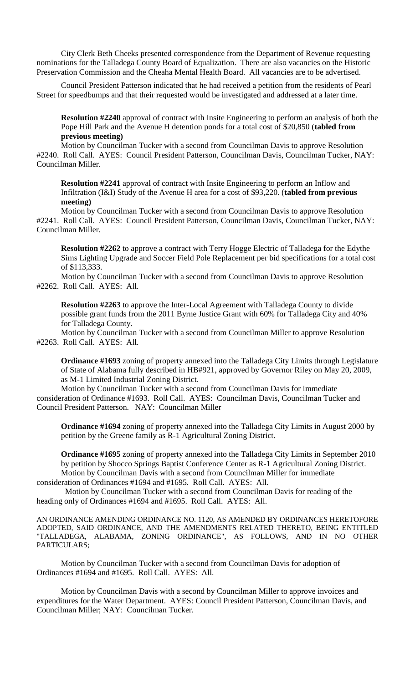City Clerk Beth Cheeks presented correspondence from the Department of Revenue requesting nominations for the Talladega County Board of Equalization. There are also vacancies on the Historic Preservation Commission and the Cheaha Mental Health Board. All vacancies are to be advertised.

Council President Patterson indicated that he had received a petition from the residents of Pearl Street for speedbumps and that their requested would be investigated and addressed at a later time.

**Resolution #2240** approval of contract with Insite Engineering to perform an analysis of both the Pope Hill Park and the Avenue H detention ponds for a total cost of \$20,850 (**tabled from previous meeting)**

Motion by Councilman Tucker with a second from Councilman Davis to approve Resolution #2240. Roll Call. AYES: Council President Patterson, Councilman Davis, Councilman Tucker, NAY: Councilman Miller.

**Resolution #2241** approval of contract with Insite Engineering to perform an Inflow and Infiltration (I&I) Study of the Avenue H area for a cost of \$93,220. (**tabled from previous meeting)**

Motion by Councilman Tucker with a second from Councilman Davis to approve Resolution #2241. Roll Call. AYES: Council President Patterson, Councilman Davis, Councilman Tucker, NAY: Councilman Miller.

**Resolution #2262** to approve a contract with Terry Hogge Electric of Talladega for the Edythe Sims Lighting Upgrade and Soccer Field Pole Replacement per bid specifications for a total cost of \$113,333.

Motion by Councilman Tucker with a second from Councilman Davis to approve Resolution #2262. Roll Call. AYES: All.

**Resolution #2263** to approve the Inter-Local Agreement with Talladega County to divide possible grant funds from the 2011 Byrne Justice Grant with 60% for Talladega City and 40% for Talladega County.

Motion by Councilman Tucker with a second from Councilman Miller to approve Resolution #2263. Roll Call. AYES: All.

**Ordinance #1693** zoning of property annexed into the Talladega City Limits through Legislature of State of Alabama fully described in HB#921, approved by Governor Riley on May 20, 2009, as M-1 Limited Industrial Zoning District.

Motion by Councilman Tucker with a second from Councilman Davis for immediate consideration of Ordinance #1693. Roll Call. AYES: Councilman Davis, Councilman Tucker and Council President Patterson. NAY: Councilman Miller

**Ordinance #1694** zoning of property annexed into the Talladega City Limits in August 2000 by petition by the Greene family as R-1 Agricultural Zoning District.

**Ordinance #1695** zoning of property annexed into the Talladega City Limits in September 2010 by petition by Shocco Springs Baptist Conference Center as R-1 Agricultural Zoning District. Motion by Councilman Davis with a second from Councilman Miller for immediate consideration of Ordinances #1694 and #1695. Roll Call. AYES: All.

 Motion by Councilman Tucker with a second from Councilman Davis for reading of the heading only of Ordinances #1694 and #1695. Roll Call. AYES: All.

AN ORDINANCE AMENDING ORDINANCE NO. 1120, AS AMENDED BY ORDINANCES HERETOFORE ADOPTED, SAID ORDINANCE, AND THE AMENDMENTS RELATED THERETO, BEING ENTITLED "TALLADEGA, ALABAMA, ZONING ORDINANCE", AS FOLLOWS, AND IN NO OTHER PARTICULARS;

Motion by Councilman Tucker with a second from Councilman Davis for adoption of Ordinances #1694 and #1695. Roll Call. AYES: All.

Motion by Councilman Davis with a second by Councilman Miller to approve invoices and expenditures for the Water Department. AYES: Council President Patterson, Councilman Davis, and Councilman Miller; NAY: Councilman Tucker.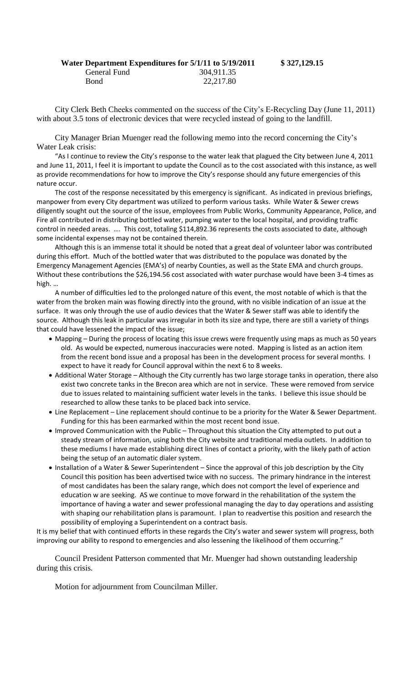| Water Department Expenditures for 5/1/11 to 5/19/2011 |            |
|-------------------------------------------------------|------------|
| General Fund                                          | 304,911.35 |
| Bond                                                  | 22,217.80  |

**Water Department Expenditures for 5/1/11 to 5/19/2011 \$ 327,129.15**

City Clerk Beth Cheeks commented on the success of the City's E-Recycling Day (June 11, 2011) with about 3.5 tons of electronic devices that were recycled instead of going to the landfill.

City Manager Brian Muenger read the following memo into the record concerning the City's Water Leak crisis:

"As I continue to review the City's response to the water leak that plagued the City between June 4, 2011 and June 11, 2011, I feel it is important to update the Council as to the cost associated with this instance, as well as provide recommendations for how to improve the City's response should any future emergencies of this nature occur.

The cost of the response necessitated by this emergency is significant. As indicated in previous briefings, manpower from every City department was utilized to perform various tasks. While Water & Sewer crews diligently sought out the source of the issue, employees from Public Works, Community Appearance, Police, and Fire all contributed in distributing bottled water, pumping water to the local hospital, and providing traffic control in needed areas. …. This cost, totaling \$114,892.36 represents the costs associated to date, although some incidental expenses may not be contained therein.

Although this is an immense total it should be noted that a great deal of volunteer labor was contributed during this effort. Much of the bottled water that was distributed to the populace was donated by the Emergency Management Agencies (EMA's) of nearby Counties, as well as the State EMA and church groups. Without these contributions the \$26,194.56 cost associated with water purchase would have been 3-4 times as high. …

A number of difficulties led to the prolonged nature of this event, the most notable of which is that the water from the broken main was flowing directly into the ground, with no visible indication of an issue at the surface. It was only through the use of audio devices that the Water & Sewer staff was able to identify the source. Although this leak in particular was irregular in both its size and type, there are still a variety of things that could have lessened the impact of the issue;

- Mapping During the process of locating this issue crews were frequently using maps as much as 50 years old. As would be expected, numerous inaccuracies were noted. Mapping is listed as an action item from the recent bond issue and a proposal has been in the development process for several months. I expect to have it ready for Council approval within the next 6 to 8 weeks.
- Additional Water Storage Although the City currently has two large storage tanks in operation, there also exist two concrete tanks in the Brecon area which are not in service. These were removed from service due to issues related to maintaining sufficient water levels in the tanks. I believe this issue should be researched to allow these tanks to be placed back into service.
- Line Replacement Line replacement should continue to be a priority for the Water & Sewer Department. Funding for this has been earmarked within the most recent bond issue.
- Improved Communication with the Public Throughout this situation the City attempted to put out a steady stream of information, using both the City website and traditional media outlets. In addition to these mediums I have made establishing direct lines of contact a priority, with the likely path of action being the setup of an automatic dialer system.
- Installation of a Water & Sewer Superintendent Since the approval of this job description by the City Council this position has been advertised twice with no success. The primary hindrance in the interest of most candidates has been the salary range, which does not comport the level of experience and education w are seeking. AS we continue to move forward in the rehabilitation of the system the importance of having a water and sewer professional managing the day to day operations and assisting with shaping our rehabilitation plans is paramount. I plan to readvertise this position and research the possibility of employing a Superintendent on a contract basis.

It is my belief that with continued efforts in these regards the City's water and sewer system will progress, both improving our ability to respond to emergencies and also lessening the likelihood of them occurring."

Council President Patterson commented that Mr. Muenger had shown outstanding leadership during this crisis.

Motion for adjournment from Councilman Miller.